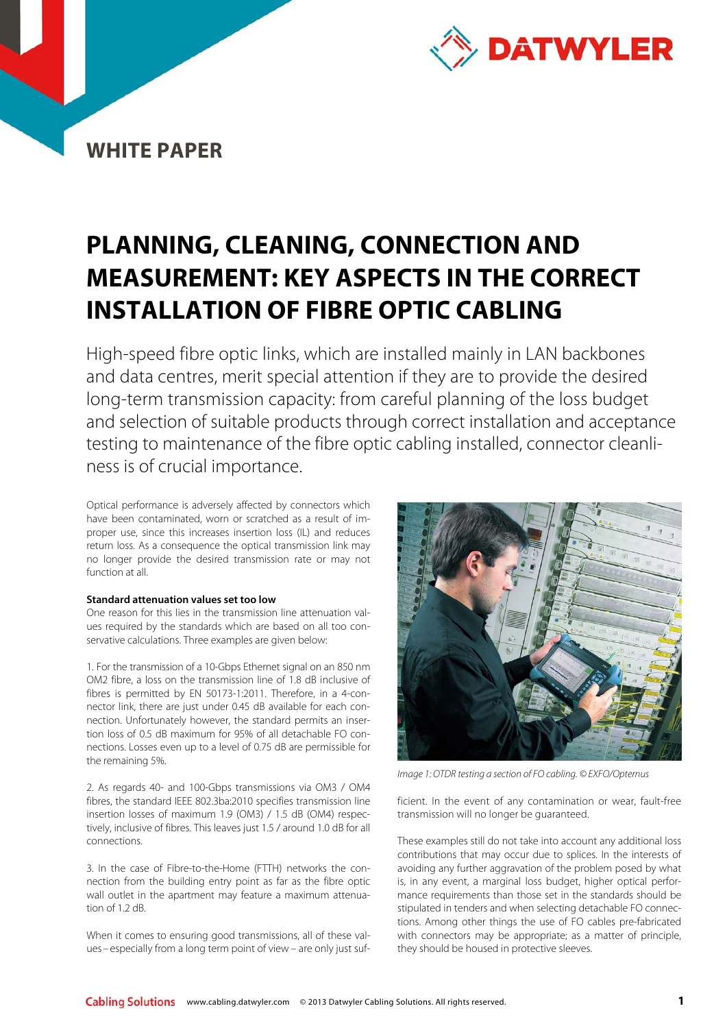

# **PLANNING, CLEANING, CONNECTION AND MEASUREMENT: KEY ASPECTS IN THE CORRECT INSTALLATION OF FIBRE OPTIC CABLING**

High-speed fibre optic links, which are installed mainly in LAN backbones and data centres, merit special attention if they are to provide the desired long-term transmission capacity: from careful planning of the loss budget and selection of suitable products through correct installation and acceptance testing to maintenance of the fibre optic cabling installed, connector cleanliness is of crucial importance.

Optical performance is adversely affected by connectors which have been contaminated, worn or scratched as a result of improper use, since this increases insertion loss (IL) and reduces return loss. As a consequence the optical transmission link may no longer provide the desired transmission rate or may not function at all.

# **Standard attenuation values set too low**

One reason for this lies in the transmission line attenuation values required by the standards which are based on all too conservative calculations. Three examples are given below:

1. For the transmission of a 10-Gbps Ethernet signal on an 850 nm OM2 fibre, a loss on the transmission line of 1.8 dB inclusive of fibres is permitted by EN 50173-1:2011. Therefore, in a 4-connector link, there are just under 0.45 dB available for each connection. Unfortunately however, the standard permits an insertion loss of 0.5 dB maximum for 95% of all detachable FO connections. Losses even up to a level of 0.75 dB are permissible for the remaining 5%.

2. As regards 40- and 100-Gbps transmissions via OM3 / OM4 fibres, the standard IEEE 802.3ba:2010 specifies transmission line insertion losses of maximum 1.9 (OM3) / 1.5 dB (OM4) respectively, inclusive of fibres. This leaves just 1.5 / around 1.0 dB for all connections.

3. In the case of Fibre-to-the-Home (FTTH) networks the connection from the building entry point as far as the fibre optic wall outlet in the apartment may feature a maximum attenuation of 1.2 dB.

When it comes to ensuring good transmissions, all of these values– especially from a long term point of view – are only just suf-



Image 1: OTDR testing a section of FO cabling. © EXFO/Opternus

ficient. In the event of any contamination or wear, fault-free transmission will no longer be guaranteed.

These examples still do not take into account any additional loss contributions that may occur due to splices. In the interests of avoiding any further aggravation of the problem posed by what is, in any event, a marginal loss budget, higher optical performance requirements than those set in the standards should be stipulated in tenders and when selecting detachable FO connections. Among other things the use of FO cables pre-fabricated with connectors may be appropriate; as a matter of principle, they should be housed in protective sleeves.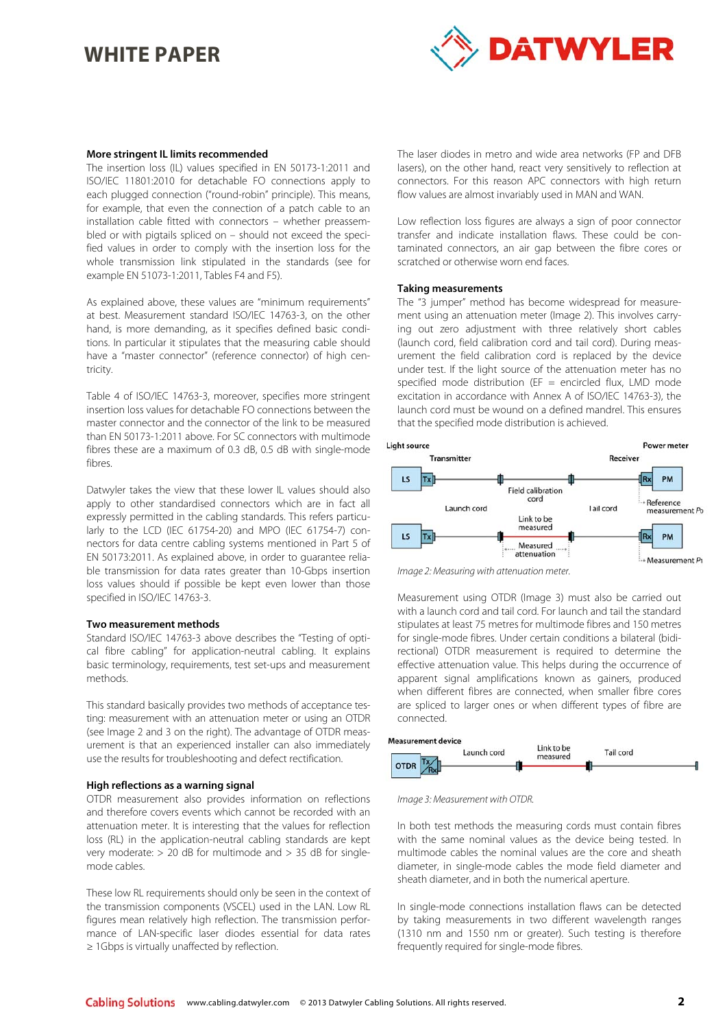

# **More stringent IL limits recommended**

The insertion loss (IL) values specified in EN 50173-1:2011 and ISO/IEC 11801:2010 for detachable FO connections apply to each plugged connection ("round-robin" principle). This means, for example, that even the connection of a patch cable to an installation cable fitted with connectors – whether preassembled or with pigtails spliced on – should not exceed the specified values in order to comply with the insertion loss for the whole transmission link stipulated in the standards (see for example EN 51073-1:2011, Tables F4 and F5).

As explained above, these values are "minimum requirements" at best. Measurement standard ISO/IEC 14763-3, on the other hand, is more demanding, as it specifies defined basic conditions. In particular it stipulates that the measuring cable should have a "master connector" (reference connector) of high centricity.

Table 4 of ISO/IEC 14763-3, moreover, specifies more stringent insertion loss values for detachable FO connections between the master connector and the connector of the link to be measured than EN 50173-1:2011 above. For SC connectors with multimode fibres these are a maximum of 0.3 dB, 0.5 dB with single-mode fibres.

Datwyler takes the view that these lower IL values should also apply to other standardised connectors which are in fact all expressly permitted in the cabling standards. This refers particularly to the LCD (IEC 61754-20) and MPO (IEC 61754-7) connectors for data centre cabling systems mentioned in Part 5 of EN 50173:2011. As explained above, in order to guarantee reliable transmission for data rates greater than 10-Gbps insertion loss values should if possible be kept even lower than those specified in ISO/IEC 14763-3.

### **Two measurement methods**

Standard ISO/IEC 14763-3 above describes the "Testing of optical fibre cabling" for application-neutral cabling. It explains basic terminology, requirements, test set-ups and measurement methods.

This standard basically provides two methods of acceptance testing: measurement with an attenuation meter or using an OTDR (see Image 2 and 3 on the right). The advantage of OTDR measurement is that an experienced installer can also immediately use the results for troubleshooting and defect rectification.

### **High reflections as a warning signal**

OTDR measurement also provides information on reflections and therefore covers events which cannot be recorded with an attenuation meter. It is interesting that the values for reflection loss (RL) in the application-neutral cabling standards are kept very moderate: > 20 dB for multimode and > 35 dB for singlemode cables.

These low RL requirements should only be seen in the context of the transmission components (VSCEL) used in the LAN. Low RL figures mean relatively high reflection. The transmission performance of LAN-specific laser diodes essential for data rates ≥ 1Gbps is virtually unaffected by reflection.

The laser diodes in metro and wide area networks (FP and DFB lasers), on the other hand, react very sensitively to reflection at connectors. For this reason APC connectors with high return flow values are almost invariably used in MAN and WAN.

Low reflection loss figures are always a sign of poor connector transfer and indicate installation flaws. These could be contaminated connectors, an air gap between the fibre cores or scratched or otherwise worn end faces.

## **Taking measurements**

The "3 jumper" method has become widespread for measurement using an attenuation meter (Image 2). This involves carrying out zero adjustment with three relatively short cables (launch cord, field calibration cord and tail cord). During measurement the field calibration cord is replaced by the device under test. If the light source of the attenuation meter has no specified mode distribution (EF = encircled flux, LMD mode excitation in accordance with Annex A of ISO/IEC 14763-3), the launch cord must be wound on a defined mandrel. This ensures that the specified mode distribution is achieved.





Measurement using OTDR (Image 3) must also be carried out with a launch cord and tail cord. For launch and tail the standard stipulates at least 75 metres for multimode fibres and 150 metres for single-mode fibres. Under certain conditions a bilateral (bidirectional) OTDR measurement is required to determine the effective attenuation value. This helps during the occurrence of apparent signal amplifications known as gainers, produced when different fibres are connected, when smaller fibre cores are spliced to larger ones or when different types of fibre are connected.



Image 3: Measurement with OTDR.

In both test methods the measuring cords must contain fibres with the same nominal values as the device being tested. In multimode cables the nominal values are the core and sheath diameter, in single-mode cables the mode field diameter and sheath diameter, and in both the numerical aperture.

In single-mode connections installation flaws can be detected by taking measurements in two different wavelength ranges (1310 nm and 1550 nm or greater). Such testing is therefore frequently required for single-mode fibres.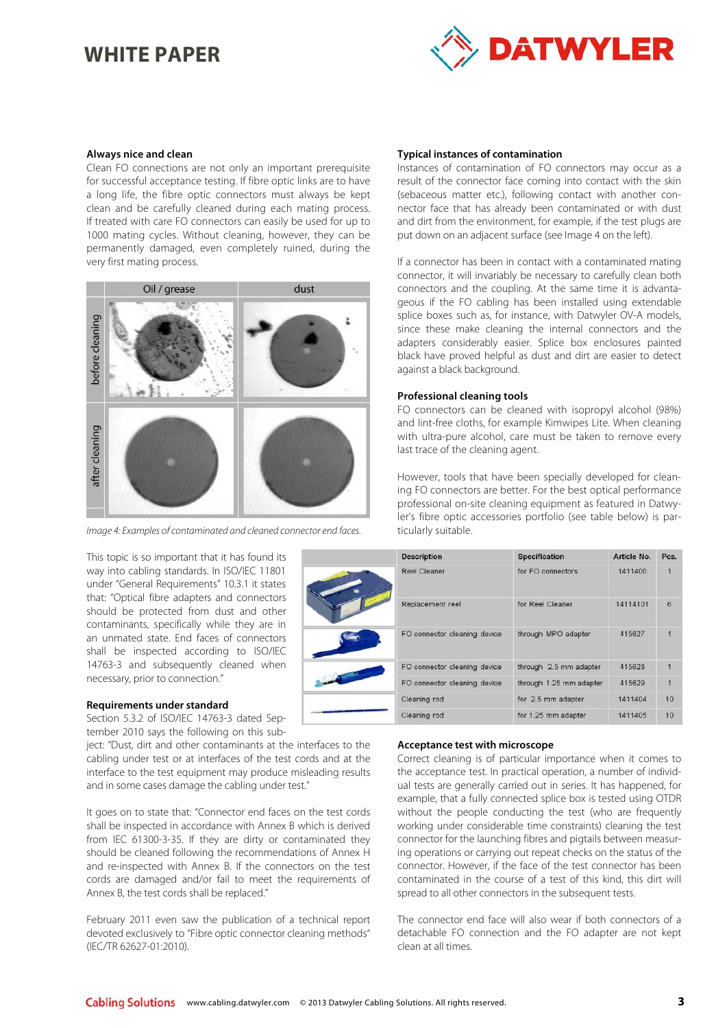

# **Always nice and clean**

Clean FO connections are not only an important prerequisite for successful acceptance testing. If fibre optic links are to have a long life, the fibre optic connectors must always be kept clean and be carefully cleaned during each mating process. If treated with care FO connectors can easily be used for up to 1000 mating cycles. Without cleaning, however, they can be permanently damaged, even completely ruined, during the very first mating process.



Image 4: Examples of contaminated and cleaned connector end faces.

This topic is so important that it has found its way into cabling standards. In ISO/IEC 11801 under "General Requirements" 10.3.1 it states that: "Optical fibre adapters and connectors should be protected from dust and other contaminants, specifically while they are in an unmated state. End faces of connectors shall be inspected according to ISO/IEC 14763-3 and subsequently cleaned when necessary, prior to connection."

# **Requirements under standard**

Section 5.3.2 of ISO/IEC 14763-3 dated September 2010 says the following on this sub-

ject: "Dust, dirt and other contaminants at the interfaces to the cabling under test or at interfaces of the test cords and at the interface to the test equipment may produce misleading results and in some cases damage the cabling under test."

It goes on to state that: "Connector end faces on the test cords shall be inspected in accordance with Annex B which is derived from IEC 61300-3-35. If they are dirty or contaminated they should be cleaned following the recommendations of Annex H and re-inspected with Annex B. If the connectors on the test cords are damaged and/or fail to meet the requirements of Annex B, the test cords shall be replaced."

February 2011 even saw the publication of a technical report devoted exclusively to "Fibre optic connector cleaning methods" (IEC/TR 62627-01:2010).

# **Typical instances of contamination**

Instances of contamination of FO connectors may occur as a result of the connector face coming into contact with the skin (sebaceous matter etc.), following contact with another connector face that has already been contaminated or with dust and dirt from the environment, for example, if the test plugs are put down on an adjacent surface (see Image 4 on the left).

If a connector has been in contact with a contaminated mating connector, it will invariably be necessary to carefully clean both connectors and the coupling. At the same time it is advantageous if the FO cabling has been installed using extendable splice boxes such as, for instance, with Datwyler OV-A models, since these make cleaning the internal connectors and the adapters considerably easier. Splice box enclosures painted black have proved helpful as dust and dirt are easier to detect against a black background.

# **Professional cleaning tools**

FO connectors can be cleaned with isopropyl alcohol (98%) and lint-free cloths, for example Kimwipes Lite. When cleaning with ultra-pure alcohol, care must be taken to remove every last trace of the cleaning agent.

However, tools that have been specially developed for cleaning FO connectors are better. For the best optical performance professional on-site cleaning equipment as featured in Datwyler's fibre optic accessories portfolio (see table below) is particularly suitable.

| <b>Description</b>           | <b>Specification</b>    | Article No. | Pcs. |
|------------------------------|-------------------------|-------------|------|
| <b>Reel Cleaner</b>          | for FO connectors       | 1411400     |      |
| Replacement reel             | for Reel Cleaner        | 14114101    | 6    |
| FO connector cleaning device | through MPO adapter     | 415627      |      |
| FO connector cleaning device | through 2.5 mm adapter  | 415628      |      |
| FO connector cleaning device | through 1.25 mm adapter | 415629      | 1    |
| Cleaning rod                 | for 2.5 mm adapter      | 1411404     | 10   |
| Cleaning rod                 | for 1.25 mm adapter     | 1411405     | 10   |

### **Acceptance test with microscope**

Correct cleaning is of particular importance when it comes to the acceptance test. In practical operation, a number of individual tests are generally carried out in series. It has happened, for example, that a fully connected splice box is tested using OTDR without the people conducting the test (who are frequently working under considerable time constraints) cleaning the test connector for the launching fibres and pigtails between measuring operations or carrying out repeat checks on the status of the connector. However, if the face of the test connector has been contaminated in the course of a test of this kind, this dirt will spread to all other connectors in the subsequent tests.

The connector end face will also wear if both connectors of a detachable FO connection and the FO adapter are not kept clean at all times.